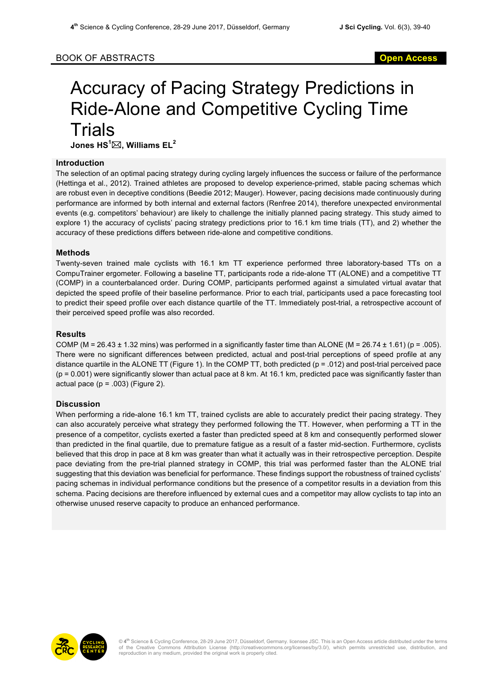## BOOK OF ABSTRACTS **Open Access**

# Accuracy of Pacing Strategy Predictions in Ride-Alone and Competitive Cycling Time **Trials Jones HS<sup>1</sup>** \***, Williams EL<sup>2</sup>**

### **Introduction**

The selection of an optimal pacing strategy during cycling largely influences the success or failure of the performance (Hettinga et al., 2012). Trained athletes are proposed to develop experience-primed, stable pacing schemas which are robust even in deceptive conditions (Beedie 2012; Mauger). However, pacing decisions made continuously during performance are informed by both internal and external factors (Renfree 2014), therefore unexpected environmental events (e.g. competitors' behaviour) are likely to challenge the initially planned pacing strategy. This study aimed to explore 1) the accuracy of cyclists' pacing strategy predictions prior to 16.1 km time trials (TT), and 2) whether the accuracy of these predictions differs between ride-alone and competitive conditions.

#### **Methods**

Twenty-seven trained male cyclists with 16.1 km TT experience performed three laboratory-based TTs on a CompuTrainer ergometer. Following a baseline TT, participants rode a ride-alone TT (ALONE) and a competitive TT (COMP) in a counterbalanced order. During COMP, participants performed against a simulated virtual avatar that depicted the speed profile of their baseline performance. Prior to each trial, participants used a pace forecasting tool to predict their speed profile over each distance quartile of the TT. Immediately post-trial, a retrospective account of their perceived speed profile was also recorded.

#### **Results**

COMP (M = 26.43  $\pm$  1.32 mins) was performed in a significantly faster time than ALONE (M = 26.74  $\pm$  1.61) (p = .005). There were no significant differences between predicted, actual and post-trial perceptions of speed profile at any distance quartile in the ALONE TT (Figure 1). In the COMP TT, both predicted (p = .012) and post-trial perceived pace  $(p = 0.001)$  were significantly slower than actual pace at 8 km. At 16.1 km, predicted pace was significantly faster than actual pace  $(p = .003)$  (Figure 2).

#### **Discussion**

When performing a ride-alone 16.1 km TT, trained cyclists are able to accurately predict their pacing strategy. They can also accurately perceive what strategy they performed following the TT. However, when performing a TT in the presence of a competitor, cyclists exerted a faster than predicted speed at 8 km and consequently performed slower than predicted in the final quartile, due to premature fatigue as a result of a faster mid-section. Furthermore, cyclists believed that this drop in pace at 8 km was greater than what it actually was in their retrospective perception. Despite pace deviating from the pre-trial planned strategy in COMP, this trial was performed faster than the ALONE trial suggesting that this deviation was beneficial for performance. These findings support the robustness of trained cyclists' pacing schemas in individual performance conditions but the presence of a competitor results in a deviation from this schema. Pacing decisions are therefore influenced by external cues and a competitor may allow cyclists to tap into an otherwise unused reserve capacity to produce an enhanced performance.